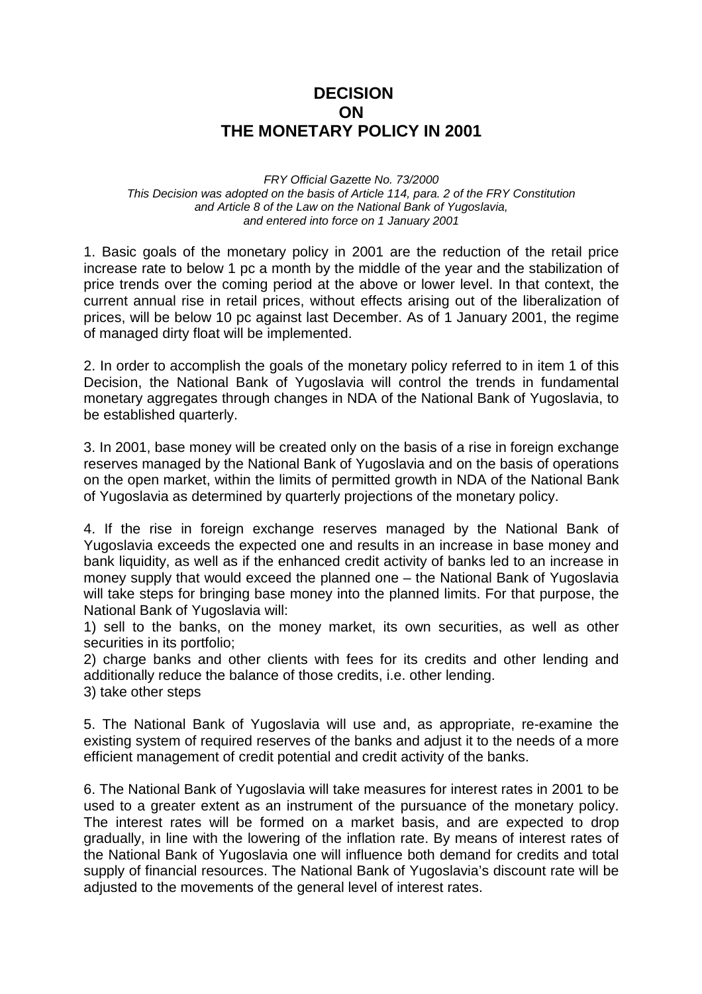## **DECISION ON THE MONETARY POLICY IN 2001**

*FRY Official Gazette No. 73/2000 This Decision was adopted on the basis of Article 114, para. 2 of the FRY Constitution and Article 8 of the Law on the National Bank of Yugoslavia, and entered into force on 1 January 2001*

1. Basic goals of the monetary policy in 2001 are the reduction of the retail price increase rate to below 1 pc a month by the middle of the year and the stabilization of price trends over the coming period at the above or lower level. In that context, the current annual rise in retail prices, without effects arising out of the liberalization of prices, will be below 10 pc against last December. As of 1 January 2001, the regime of managed dirty float will be implemented.

2. In order to accomplish the goals of the monetary policy referred to in item 1 of this Decision, the National Bank of Yugoslavia will control the trends in fundamental monetary aggregates through changes in NDA of the National Bank of Yugoslavia, to be established quarterly.

3. In 2001, base money will be created only on the basis of a rise in foreign exchange reserves managed by the National Bank of Yugoslavia and on the basis of operations on the open market, within the limits of permitted growth in NDA of the National Bank of Yugoslavia as determined by quarterly projections of the monetary policy.

4. If the rise in foreign exchange reserves managed by the National Bank of Yugoslavia exceeds the expected one and results in an increase in base money and bank liquidity, as well as if the enhanced credit activity of banks led to an increase in money supply that would exceed the planned one – the National Bank of Yugoslavia will take steps for bringing base money into the planned limits. For that purpose, the National Bank of Yugoslavia will:

1) sell to the banks, on the money market, its own securities, as well as other securities in its portfolio;

2) charge banks and other clients with fees for its credits and other lending and additionally reduce the balance of those credits, i.e. other lending.

3) take other steps

5. The National Bank of Yugoslavia will use and, as appropriate, re-examine the existing system of required reserves of the banks and adjust it to the needs of a more efficient management of credit potential and credit activity of the banks.

6. The National Bank of Yugoslavia will take measures for interest rates in 2001 to be used to a greater extent as an instrument of the pursuance of the monetary policy. The interest rates will be formed on a market basis, and are expected to drop gradually, in line with the lowering of the inflation rate. By means of interest rates of the National Bank of Yugoslavia one will influence both demand for credits and total supply of financial resources. The National Bank of Yugoslavia's discount rate will be adjusted to the movements of the general level of interest rates.